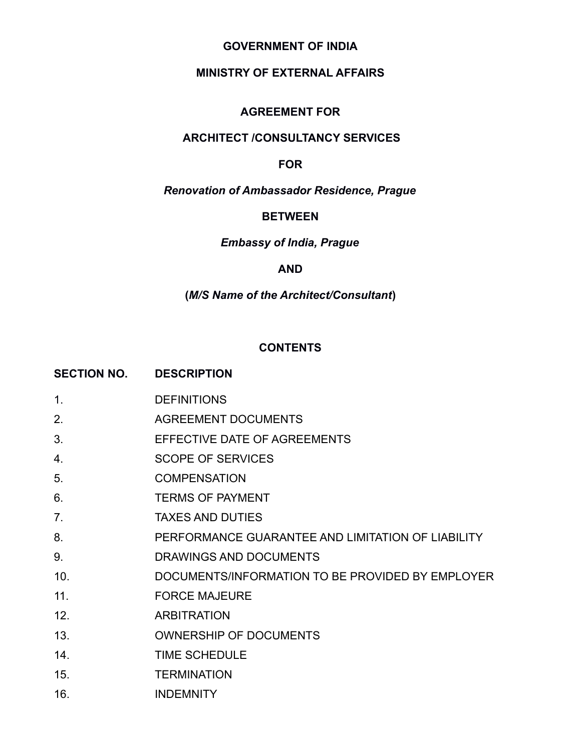### **GOVERNMENT OF INDIA**

# **MINISTRY OF EXTERNAL AFFAIRS**

#### **AGREEMENT FOR**

# **ARCHITECT /CONSULTANCY SERVICES**

#### **FOR**

# *Renovation of Ambassador Residence, Prague*

#### **BETWEEN**

### *Embassy of India, Prague*

#### **AND**

# **(***M/S Name of the Architect/Consultant***)**

#### **CONTENTS**

|                | SECTION NO. DESCRIPTION                           |
|----------------|---------------------------------------------------|
| $\mathbf{1}$ . | <b>DEFINITIONS</b>                                |
| 2.             | <b>AGREEMENT DOCUMENTS</b>                        |
| 3.             | EFFECTIVE DATE OF AGREEMENTS                      |
| 4.             | <b>SCOPE OF SERVICES</b>                          |
| 5.             | <b>COMPENSATION</b>                               |
| 6.             | <b>TERMS OF PAYMENT</b>                           |
| 7.             | <b>TAXES AND DUTIES</b>                           |
| 8.             | PERFORMANCE GUARANTEE AND LIMITATION OF LIABILITY |
| 9.             | DRAWINGS AND DOCUMENTS                            |
| 10.            | DOCUMENTS/INFORMATION TO BE PROVIDED BY EMPLOYER  |
| 11.            | <b>FORCE MAJEURE</b>                              |
| 12.            | <b>ARBITRATION</b>                                |
| 13.            | <b>OWNERSHIP OF DOCUMENTS</b>                     |
| 14.            | <b>TIME SCHEDULE</b>                              |
| 15.            | <b>TERMINATION</b>                                |
| 16.            | <b>INDEMNITY</b>                                  |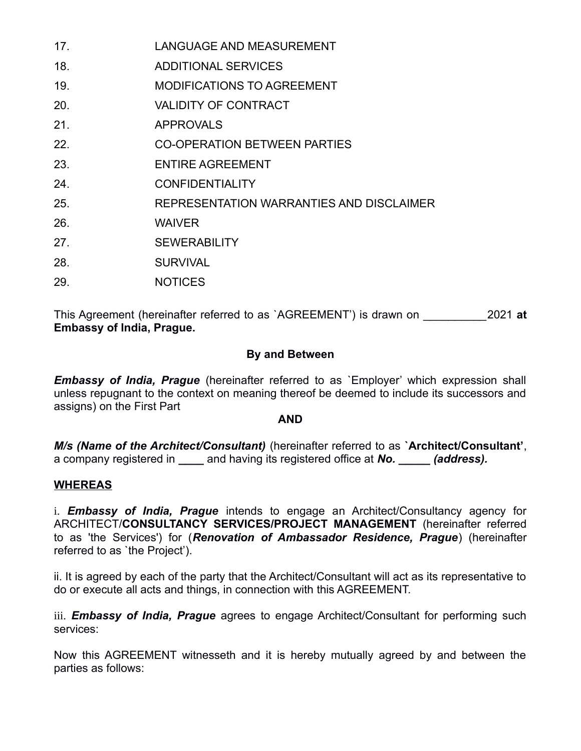| 17. | <b>LANGUAGE AND MEASUREMENT</b>          |
|-----|------------------------------------------|
| 18. | <b>ADDITIONAL SERVICES</b>               |
| 19. | <b>MODIFICATIONS TO AGREEMENT</b>        |
| 20. | <b>VALIDITY OF CONTRACT</b>              |
| 21. | <b>APPROVALS</b>                         |
| 22. | <b>CO-OPERATION BETWEEN PARTIES</b>      |
| 23. | <b>ENTIRE AGREEMENT</b>                  |
| 24. | <b>CONFIDENTIALITY</b>                   |
| 25. | REPRESENTATION WARRANTIES AND DISCLAIMER |
| 26. | <b>WAIVER</b>                            |
| 27. | <b>SEWERABILITY</b>                      |
| 28. | <b>SURVIVAL</b>                          |
| 29. | <b>NOTICES</b>                           |

This Agreement (hereinafter referred to as `AGREEMENT') is drawn on \_\_\_\_\_\_\_\_\_\_2021 **at Embassy of India, Prague.**

### **By and Between**

*Embassy of India, Prague* (hereinafter referred to as `Employer' which expression shall unless repugnant to the context on meaning thereof be deemed to include its successors and assigns) on the First Part

### **AND**

*M/s (Name of the Architect/Consultant)* (hereinafter referred to as **`Architect/Consultant'**, a company registered in **\_\_\_\_** and having its registered office at *No. \_\_\_\_\_ (address).*

### **WHEREAS**

i. *Embassy of India, Prague* intends to engage an Architect/Consultancy agency for ARCHITECT/**CONSULTANCY SERVICES/PROJECT MANAGEMENT** (hereinafter referred to as 'the Services') for (*Renovation of Ambassador Residence, Prague*) (hereinafter referred to as `the Project').

ii. It is agreed by each of the party that the Architect/Consultant will act as its representative to do or execute all acts and things, in connection with this AGREEMENT.

iii. *Embassy of India, Prague* agrees to engage Architect/Consultant for performing such services:

Now this AGREEMENT witnesseth and it is hereby mutually agreed by and between the parties as follows: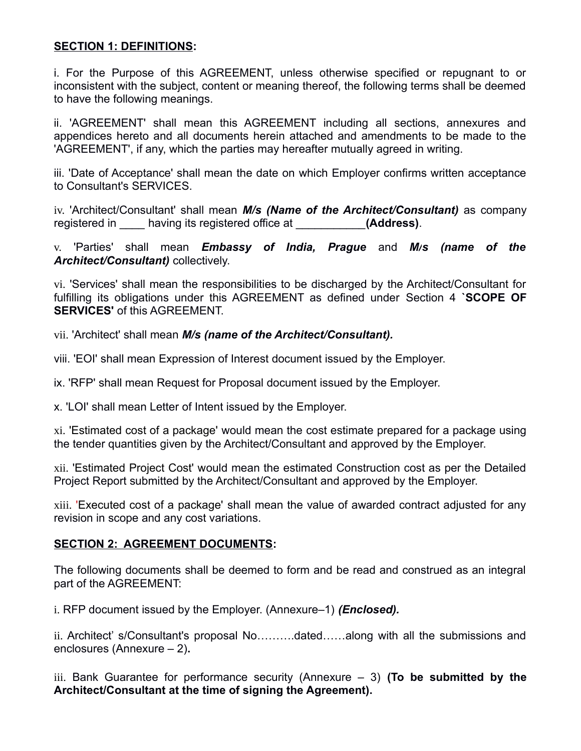### **SECTION 1: DEFINITIONS:**

i. For the Purpose of this AGREEMENT, unless otherwise specified or repugnant to or inconsistent with the subject, content or meaning thereof, the following terms shall be deemed to have the following meanings.

ii. 'AGREEMENT' shall mean this AGREEMENT including all sections, annexures and appendices hereto and all documents herein attached and amendments to be made to the 'AGREEMENT', if any, which the parties may hereafter mutually agreed in writing.

iii. 'Date of Acceptance' shall mean the date on which Employer confirms written acceptance to Consultant's SERVICES.

iv. 'Architect/Consultant' shall mean *M/s (Name of the Architect/Consultant)* as company registered in \_\_\_\_ having its registered office at \_\_\_\_\_\_\_\_\_\_\_**(Address)**.

v. 'Parties' shall mean *Embassy of India, Prague* and *M/s (name of the Architect/Consultant)* collectively.

vi. 'Services' shall mean the responsibilities to be discharged by the Architect/Consultant for fulfilling its obligations under this AGREEMENT as defined under Section 4 **`SCOPE OF SERVICES'** of this AGRFFMENT.

vii. 'Architect' shall mean *M/s (name of the Architect/Consultant).*

viii. 'EOI' shall mean Expression of Interest document issued by the Employer.

ix. 'RFP' shall mean Request for Proposal document issued by the Employer.

x. 'LOI' shall mean Letter of Intent issued by the Employer.

xi. 'Estimated cost of a package' would mean the cost estimate prepared for a package using the tender quantities given by the Architect/Consultant and approved by the Employer.

xii. 'Estimated Project Cost' would mean the estimated Construction cost as per the Detailed Project Report submitted by the Architect/Consultant and approved by the Employer.

xiii. 'Executed cost of a package' shall mean the value of awarded contract adjusted for any revision in scope and any cost variations.

### **SECTION 2: AGREEMENT DOCUMENTS:**

The following documents shall be deemed to form and be read and construed as an integral part of the AGREEMENT:

i. RFP document issued by the Employer. (Annexure–1) *(Enclosed).*

ii. Architect' s/Consultant's proposal No……….dated……along with all the submissions and enclosures (Annexure – 2)**.**

iii. Bank Guarantee for performance security (Annexure – 3) **(To be submitted by the Architect/Consultant at the time of signing the Agreement).**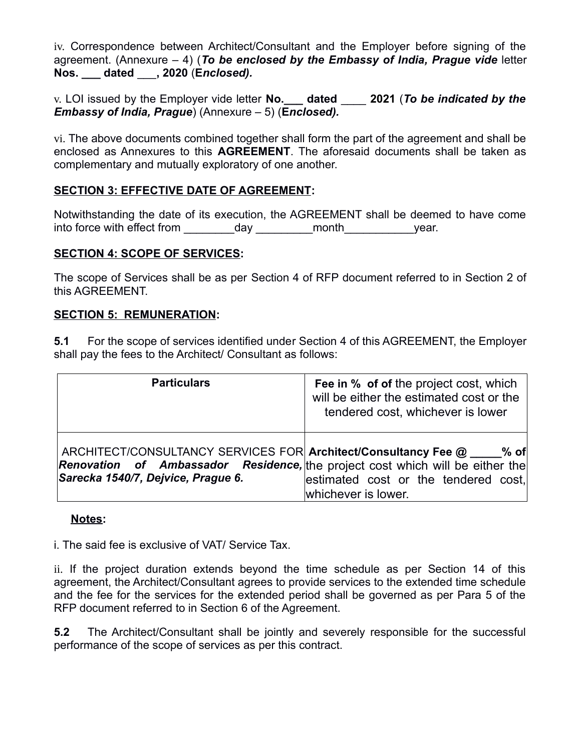iv. Correspondence between Architect/Consultant and the Employer before signing of the agreement. (Annexure – 4) (*To be enclosed by the Embassy of India, Prague vide* letter **Nos. \_\_\_ dated** \_\_\_**, 2020** (**E***nclosed).*

v. LOI issued by the Employer vide letter **No.\_\_\_ dated** \_\_\_\_ **2021** (*To be indicated by the Embassy of India, Prague*) (Annexure – 5) (**E***nclosed).*

vi. The above documents combined together shall form the part of the agreement and shall be enclosed as Annexures to this **AGREEMENT**. The aforesaid documents shall be taken as complementary and mutually exploratory of one another.

## **SECTION 3: EFFECTIVE DATE OF AGREEMENT:**

Notwithstanding the date of its execution, the AGREEMENT shall be deemed to have come into force with effect from \_\_\_\_\_\_\_\_\_\_day \_\_\_\_\_\_\_\_\_month\_\_\_\_\_\_\_\_\_\_\_\_\_\_\_year.

### **SECTION 4: SCOPE OF SERVICES:**

The scope of Services shall be as per Section 4 of RFP document referred to in Section 2 of this AGREEMENT.

### **SECTION 5: REMUNERATION:**

**5.1** For the scope of services identified under Section 4 of this AGREEMENT, the Employer shall pay the fees to the Architect/ Consultant as follows:

| <b>Particulars</b>                                                                                                                                                                                     | Fee in % of of the project cost, which<br>will be either the estimated cost or the<br>tendered cost, whichever is lower |
|--------------------------------------------------------------------------------------------------------------------------------------------------------------------------------------------------------|-------------------------------------------------------------------------------------------------------------------------|
| ARCHITECT/CONSULTANCY SERVICES FOR Architect/Consultancy Fee @ ____ % of<br><b>Renovation</b> of Ambassador Residence, the project cost which will be either the<br>Sarecka 1540/7, Dejvice, Prague 6. | estimated cost or the tendered cost,<br>whichever is lower.                                                             |

### **Notes:**

i. The said fee is exclusive of VAT/ Service Tax.

ii. If the project duration extends beyond the time schedule as per Section 14 of this agreement, the Architect/Consultant agrees to provide services to the extended time schedule and the fee for the services for the extended period shall be governed as per Para 5 of the RFP document referred to in Section 6 of the Agreement.

**5.2** The Architect/Consultant shall be jointly and severely responsible for the successful performance of the scope of services as per this contract.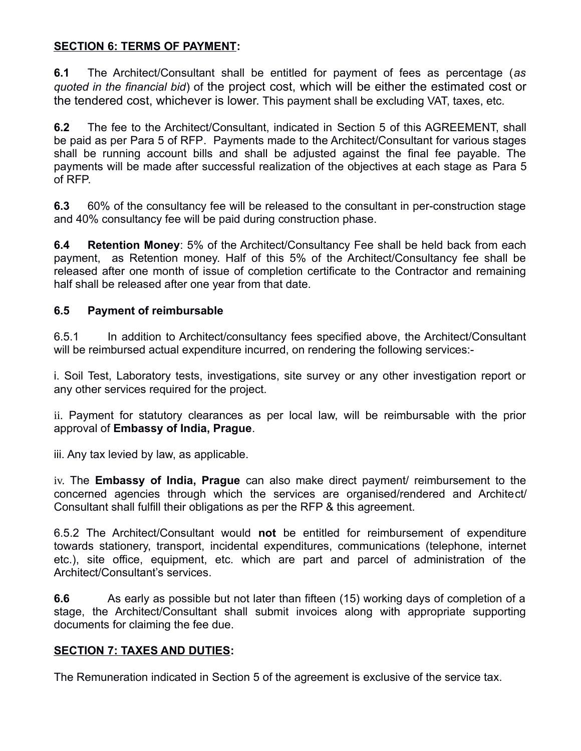### **SECTION 6: TERMS OF PAYMENT:**

**6.1** The Architect/Consultant shall be entitled for payment of fees as percentage (*as quoted in the financial bid*) of the project cost, which will be either the estimated cost or the tendered cost, whichever is lower. This payment shall be excluding VAT, taxes, etc.

**6.2** The fee to the Architect/Consultant, indicated in Section 5 of this AGREEMENT, shall be paid as per Para 5 of RFP. Payments made to the Architect/Consultant for various stages shall be running account bills and shall be adjusted against the final fee payable. The payments will be made after successful realization of the objectives at each stage as Para 5 of RFP.

**6.3** 60% of the consultancy fee will be released to the consultant in per-construction stage and 40% consultancy fee will be paid during construction phase.

**6.4 Retention Money**: 5% of the Architect/Consultancy Fee shall be held back from each payment, as Retention money. Half of this 5% of the Architect/Consultancy fee shall be released after one month of issue of completion certificate to the Contractor and remaining half shall be released after one year from that date.

### **6.5 Payment of reimbursable**

6.5.1 In addition to Architect/consultancy fees specified above, the Architect/Consultant will be reimbursed actual expenditure incurred, on rendering the following services:-

i. Soil Test, Laboratory tests, investigations, site survey or any other investigation report or any other services required for the project.

ii. Payment for statutory clearances as per local law, will be reimbursable with the prior approval of **Embassy of India, Prague**.

iii. Any tax levied by law, as applicable.

iv. The **Embassy of India, Prague** can also make direct payment/ reimbursement to the concerned agencies through which the services are organised/rendered and Architect/ Consultant shall fulfill their obligations as per the RFP & this agreement.

6.5.2 The Architect/Consultant would **not** be entitled for reimbursement of expenditure towards stationery, transport, incidental expenditures, communications (telephone, internet etc.), site office, equipment, etc. which are part and parcel of administration of the Architect/Consultant's services.

**6.6** As early as possible but not later than fifteen (15) working days of completion of a stage, the Architect/Consultant shall submit invoices along with appropriate supporting documents for claiming the fee due.

### **SECTION 7: TAXES AND DUTIES:**

The Remuneration indicated in Section 5 of the agreement is exclusive of the service tax.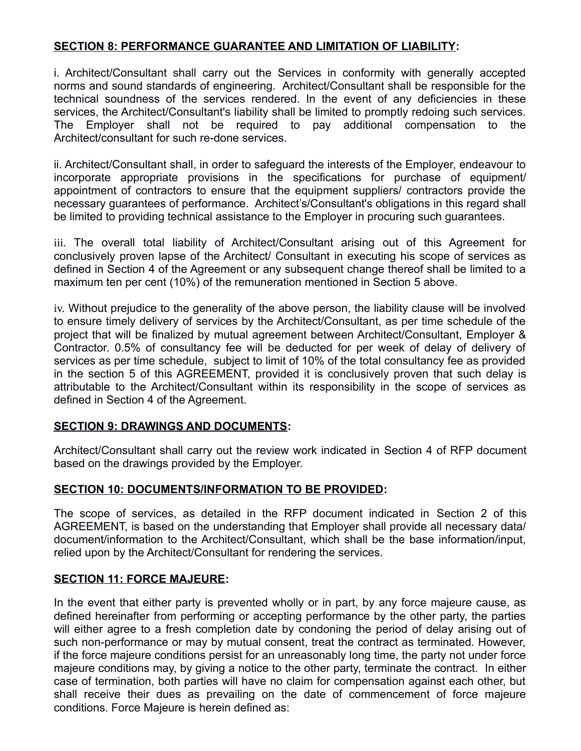### **SECTION 8: PERFORMANCE GUARANTEE AND LIMITATION OF LIABILITY:**

i. Architect/Consultant shall carry out the Services in conformity with generally accepted norms and sound standards of engineering. Architect/Consultant shall be responsible for the technical soundness of the services rendered. In the event of any deficiencies in these services, the Architect/Consultant's liability shall be limited to promptly redoing such services. The Employer shall not be required to pay additional compensation to the Architect/consultant for such re-done services.

ii. Architect/Consultant shall, in order to safeguard the interests of the Employer, endeavour to incorporate appropriate provisions in the specifications for purchase of equipment/ appointment of contractors to ensure that the equipment suppliers/ contractors provide the necessary guarantees of performance. Architect's/Consultant's obligations in this regard shall be limited to providing technical assistance to the Employer in procuring such guarantees.

iii. The overall total liability of Architect/Consultant arising out of this Agreement for conclusively proven lapse of the Architect/ Consultant in executing his scope of services as defined in Section 4 of the Agreement or any subsequent change thereof shall be limited to a maximum ten per cent (10%) of the remuneration mentioned in Section 5 above.

iv. Without prejudice to the generality of the above person, the liability clause will be involved to ensure timely delivery of services by the Architect/Consultant, as per time schedule of the project that will be finalized by mutual agreement between Architect/Consultant, Employer & Contractor. 0.5% of consultancy fee will be deducted for per week of delay of delivery of services as per time schedule, subject to limit of 10% of the total consultancy fee as provided in the section 5 of this AGREEMENT, provided it is conclusively proven that such delay is attributable to the Architect/Consultant within its responsibility in the scope of services as defined in Section 4 of the Agreement.

### **SECTION 9: DRAWINGS AND DOCUMENTS:**

Architect/Consultant shall carry out the review work indicated in Section 4 of RFP document based on the drawings provided by the Employer.

### **SECTION 10: DOCUMENTS/INFORMATION TO BE PROVIDED:**

The scope of services, as detailed in the RFP document indicated in Section 2 of this AGREEMENT, is based on the understanding that Employer shall provide all necessary data/ document/information to the Architect/Consultant, which shall be the base information/input, relied upon by the Architect/Consultant for rendering the services.

### **SECTION 11: FORCE MAJEURE:**

In the event that either party is prevented wholly or in part, by any force majeure cause, as defined hereinafter from performing or accepting performance by the other party, the parties will either agree to a fresh completion date by condoning the period of delay arising out of such non-performance or may by mutual consent, treat the contract as terminated. However, if the force majeure conditions persist for an unreasonably long time, the party not under force majeure conditions may, by giving a notice to the other party, terminate the contract. In either case of termination, both parties will have no claim for compensation against each other, but shall receive their dues as prevailing on the date of commencement of force majeure conditions. Force Majeure is herein defined as: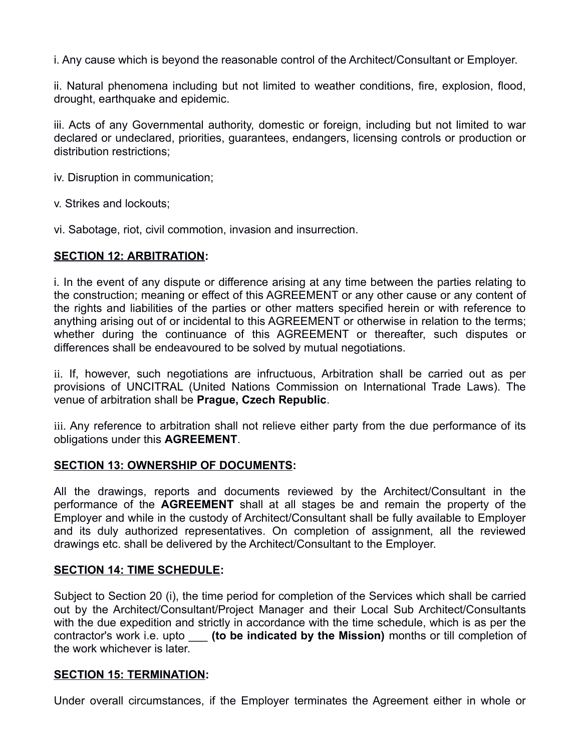i. Any cause which is beyond the reasonable control of the Architect/Consultant or Employer.

ii. Natural phenomena including but not limited to weather conditions, fire, explosion, flood, drought, earthquake and epidemic.

iii. Acts of any Governmental authority, domestic or foreign, including but not limited to war declared or undeclared, priorities, guarantees, endangers, licensing controls or production or distribution restrictions;

iv. Disruption in communication;

v. Strikes and lockouts;

vi. Sabotage, riot, civil commotion, invasion and insurrection.

### **SECTION 12: ARBITRATION:**

i. In the event of any dispute or difference arising at any time between the parties relating to the construction; meaning or effect of this AGREEMENT or any other cause or any content of the rights and liabilities of the parties or other matters specified herein or with reference to anything arising out of or incidental to this AGREEMENT or otherwise in relation to the terms; whether during the continuance of this AGREEMENT or thereafter, such disputes or differences shall be endeavoured to be solved by mutual negotiations.

ii. If, however, such negotiations are infructuous, Arbitration shall be carried out as per provisions of UNCITRAL (United Nations Commission on International Trade Laws). The venue of arbitration shall be **Prague, Czech Republic**.

iii. Any reference to arbitration shall not relieve either party from the due performance of its obligations under this **AGREEMENT**.

### **SECTION 13: OWNERSHIP OF DOCUMENTS:**

All the drawings, reports and documents reviewed by the Architect/Consultant in the performance of the **AGREEMENT** shall at all stages be and remain the property of the Employer and while in the custody of Architect/Consultant shall be fully available to Employer and its duly authorized representatives. On completion of assignment, all the reviewed drawings etc. shall be delivered by the Architect/Consultant to the Employer.

### **SECTION 14: TIME SCHEDULE:**

Subject to Section 20 (i), the time period for completion of the Services which shall be carried out by the Architect/Consultant/Project Manager and their Local Sub Architect/Consultants with the due expedition and strictly in accordance with the time schedule, which is as per the contractor's work i.e. upto \_\_\_ **(to be indicated by the Mission)** months or till completion of the work whichever is later.

### **SECTION 15: TERMINATION:**

Under overall circumstances, if the Employer terminates the Agreement either in whole or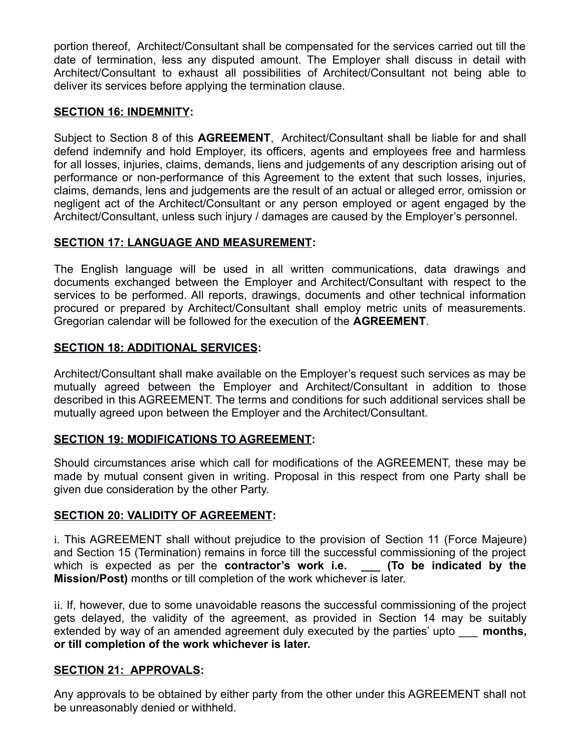portion thereof, Architect/Consultant shall be compensated for the services carried out till the date of termination, less any disputed amount. The Employer shall discuss in detail with Architect/Consultant to exhaust all possibilities of Architect/Consultant not being able to deliver its services before applying the termination clause.

### **SECTION 16: INDEMNITY:**

Subject to Section 8 of this **AGREEMENT**, Architect/Consultant shall be liable for and shall defend indemnify and hold Employer, its officers, agents and employees free and harmless for all losses, injuries, claims, demands, liens and judgements of any description arising out of performance or non-performance of this Agreement to the extent that such losses, injuries, claims, demands, lens and judgements are the result of an actual or alleged error, omission or negligent act of the Architect/Consultant or any person employed or agent engaged by the Architect/Consultant, unless such injury / damages are caused by the Employer's personnel.

### **SECTION 17: LANGUAGE AND MEASUREMENT:**

The English language will be used in all written communications, data drawings and documents exchanged between the Employer and Architect/Consultant with respect to the services to be performed. All reports, drawings, documents and other technical information procured or prepared by Architect/Consultant shall employ metric units of measurements. Gregorian calendar will be followed for the execution of the **AGREEMENT**.

### **SECTION 18: ADDITIONAL SERVICES:**

Architect/Consultant shall make available on the Employer's request such services as may be mutually agreed between the Employer and Architect/Consultant in addition to those described in this AGREEMENT. The terms and conditions for such additional services shall be mutually agreed upon between the Employer and the Architect/Consultant.

### **SECTION 19: MODIFICATIONS TO AGREEMENT:**

Should circumstances arise which call for modifications of the AGREEMENT, these may be made by mutual consent given in writing. Proposal in this respect from one Party shall be given due consideration by the other Party.

### **SECTION 20: VALIDITY OF AGREEMENT:**

i. This AGREEMENT shall without prejudice to the provision of Section 11 (Force Majeure) and Section 15 (Termination) remains in force till the successful commissioning of the project which is expected as per the **contractor's work i.e.** \_\_\_ (To be indicated by the **Mission/Post)** months or till completion of the work whichever is later.

ii. If, however, due to some unavoidable reasons the successful commissioning of the project gets delayed, the validity of the agreement, as provided in Section 14 may be suitably extended by way of an amended agreement duly executed by the parties' upto **months**, **or till completion of the work whichever is later.**

### **SECTION 21: APPROVALS:**

Any approvals to be obtained by either party from the other under this AGREEMENT shall not be unreasonably denied or withheld.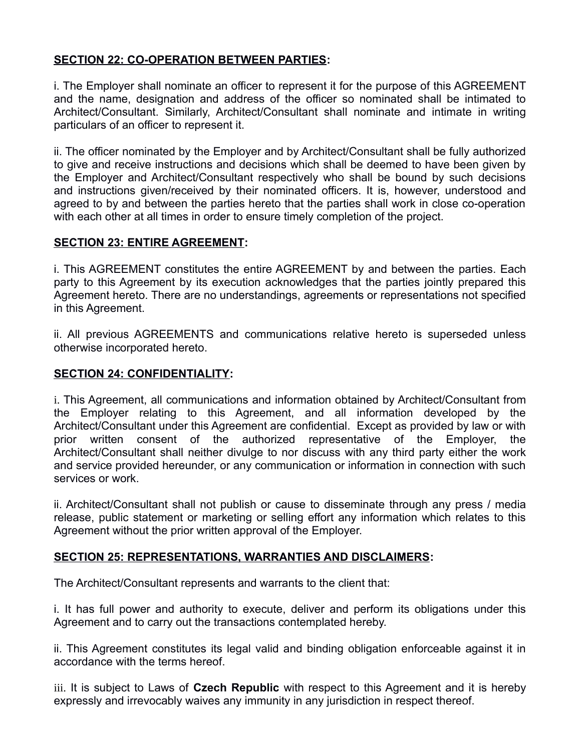# **SECTION 22: CO-OPERATION BETWEEN PARTIES:**

i. The Employer shall nominate an officer to represent it for the purpose of this AGREEMENT and the name, designation and address of the officer so nominated shall be intimated to Architect/Consultant. Similarly, Architect/Consultant shall nominate and intimate in writing particulars of an officer to represent it.

ii. The officer nominated by the Employer and by Architect/Consultant shall be fully authorized to give and receive instructions and decisions which shall be deemed to have been given by the Employer and Architect/Consultant respectively who shall be bound by such decisions and instructions given/received by their nominated officers. It is, however, understood and agreed to by and between the parties hereto that the parties shall work in close co-operation with each other at all times in order to ensure timely completion of the project.

### **SECTION 23: ENTIRE AGREEMENT:**

i. This AGREEMENT constitutes the entire AGREEMENT by and between the parties. Each party to this Agreement by its execution acknowledges that the parties jointly prepared this Agreement hereto. There are no understandings, agreements or representations not specified in this Agreement.

ii. All previous AGREEMENTS and communications relative hereto is superseded unless otherwise incorporated hereto.

### **SECTION 24: CONFIDENTIALITY:**

i. This Agreement, all communications and information obtained by Architect/Consultant from the Employer relating to this Agreement, and all information developed by the Architect/Consultant under this Agreement are confidential. Except as provided by law or with prior written consent of the authorized representative of the Employer, the Architect/Consultant shall neither divulge to nor discuss with any third party either the work and service provided hereunder, or any communication or information in connection with such services or work.

ii. Architect/Consultant shall not publish or cause to disseminate through any press / media release, public statement or marketing or selling effort any information which relates to this Agreement without the prior written approval of the Employer.

### **SECTION 25: REPRESENTATIONS, WARRANTIES AND DISCLAIMERS:**

The Architect/Consultant represents and warrants to the client that:

i. It has full power and authority to execute, deliver and perform its obligations under this Agreement and to carry out the transactions contemplated hereby.

ii. This Agreement constitutes its legal valid and binding obligation enforceable against it in accordance with the terms hereof.

iii. It is subject to Laws of **Czech Republic** with respect to this Agreement and it is hereby expressly and irrevocably waives any immunity in any jurisdiction in respect thereof.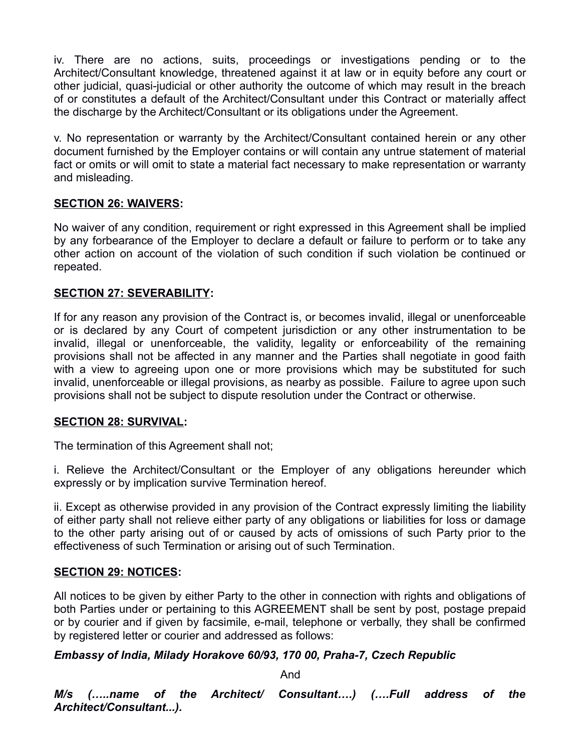iv. There are no actions, suits, proceedings or investigations pending or to the Architect/Consultant knowledge, threatened against it at law or in equity before any court or other judicial, quasi-judicial or other authority the outcome of which may result in the breach of or constitutes a default of the Architect/Consultant under this Contract or materially affect the discharge by the Architect/Consultant or its obligations under the Agreement.

v. No representation or warranty by the Architect/Consultant contained herein or any other document furnished by the Employer contains or will contain any untrue statement of material fact or omits or will omit to state a material fact necessary to make representation or warranty and misleading.

### **SECTION 26: WAIVERS:**

No waiver of any condition, requirement or right expressed in this Agreement shall be implied by any forbearance of the Employer to declare a default or failure to perform or to take any other action on account of the violation of such condition if such violation be continued or repeated.

### **SECTION 27: SEVERABILITY:**

If for any reason any provision of the Contract is, or becomes invalid, illegal or unenforceable or is declared by any Court of competent jurisdiction or any other instrumentation to be invalid, illegal or unenforceable, the validity, legality or enforceability of the remaining provisions shall not be affected in any manner and the Parties shall negotiate in good faith with a view to agreeing upon one or more provisions which may be substituted for such invalid, unenforceable or illegal provisions, as nearby as possible. Failure to agree upon such provisions shall not be subject to dispute resolution under the Contract or otherwise.

### **SECTION 28: SURVIVAL:**

The termination of this Agreement shall not;

i. Relieve the Architect/Consultant or the Employer of any obligations hereunder which expressly or by implication survive Termination hereof.

ii. Except as otherwise provided in any provision of the Contract expressly limiting the liability of either party shall not relieve either party of any obligations or liabilities for loss or damage to the other party arising out of or caused by acts of omissions of such Party prior to the effectiveness of such Termination or arising out of such Termination.

### **SECTION 29: NOTICES:**

All notices to be given by either Party to the other in connection with rights and obligations of both Parties under or pertaining to this AGREEMENT shall be sent by post, postage prepaid or by courier and if given by facsimile, e-mail, telephone or verbally, they shall be confirmed by registered letter or courier and addressed as follows:

### *Embassy of India, Milady Horakove 60/93, 170 00, Praha-7, Czech Republic*

And

*M/s (…..name of the Architect/ Consultant….) (….Full address of the Architect/Consultant...).*